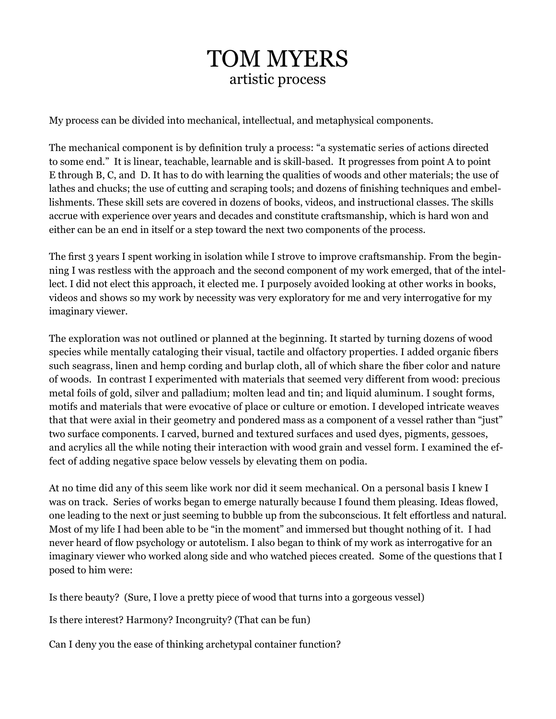## TOM MYERS artistic process

My process can be divided into mechanical, intellectual, and metaphysical components.

The mechanical component is by definition truly a process: "a systematic series of actions directed to some end." It is linear, teachable, learnable and is skill-based. It progresses from point A to point E through B, C, and D. It has to do with learning the qualities of woods and other materials; the use of lathes and chucks; the use of cutting and scraping tools; and dozens of finishing techniques and embellishments. These skill sets are covered in dozens of books, videos, and instructional classes. The skills accrue with experience over years and decades and constitute craftsmanship, which is hard won and either can be an end in itself or a step toward the next two components of the process.

The first 3 years I spent working in isolation while I strove to improve craftsmanship. From the beginning I was restless with the approach and the second component of my work emerged, that of the intellect. I did not elect this approach, it elected me. I purposely avoided looking at other works in books, videos and shows so my work by necessity was very exploratory for me and very interrogative for my imaginary viewer.

The exploration was not outlined or planned at the beginning. It started by turning dozens of wood species while mentally cataloging their visual, tactile and olfactory properties. I added organic fibers such seagrass, linen and hemp cording and burlap cloth, all of which share the fiber color and nature of woods. In contrast I experimented with materials that seemed very different from wood: precious metal foils of gold, silver and palladium; molten lead and tin; and liquid aluminum. I sought forms, motifs and materials that were evocative of place or culture or emotion. I developed intricate weaves that that were axial in their geometry and pondered mass as a component of a vessel rather than "just" two surface components. I carved, burned and textured surfaces and used dyes, pigments, gessoes, and acrylics all the while noting their interaction with wood grain and vessel form. I examined the effect of adding negative space below vessels by elevating them on podia.

At no time did any of this seem like work nor did it seem mechanical. On a personal basis I knew I was on track. Series of works began to emerge naturally because I found them pleasing. Ideas flowed, one leading to the next or just seeming to bubble up from the subconscious. It felt effortless and natural. Most of my life I had been able to be "in the moment" and immersed but thought nothing of it. I had never heard of flow psychology or autotelism. I also began to think of my work as interrogative for an imaginary viewer who worked along side and who watched pieces created. Some of the questions that I posed to him were:

Is there beauty? (Sure, I love a pretty piece of wood that turns into a gorgeous vessel)

Is there interest? Harmony? Incongruity? (That can be fun)

Can I deny you the ease of thinking archetypal container function?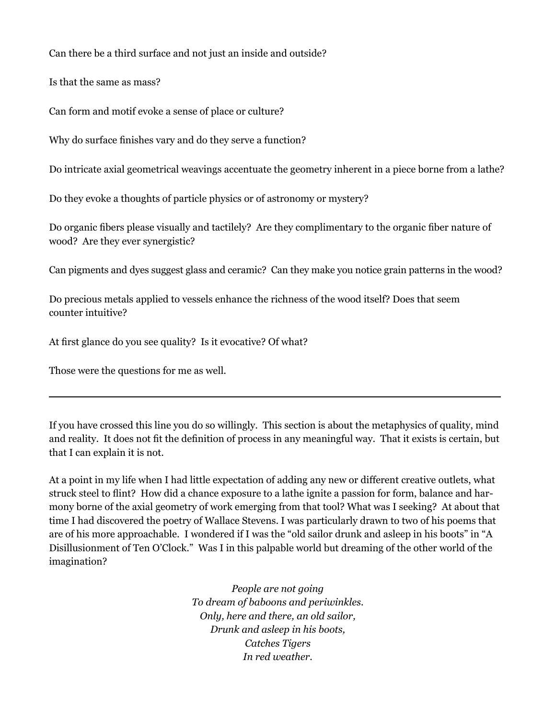Can there be a third surface and not just an inside and outside?

Is that the same as mass?

Can form and motif evoke a sense of place or culture?

Why do surface finishes vary and do they serve a function?

Do intricate axial geometrical weavings accentuate the geometry inherent in a piece borne from a lathe?

Do they evoke a thoughts of particle physics or of astronomy or mystery?

Do organic fibers please visually and tactilely? Are they complimentary to the organic fiber nature of wood? Are they ever synergistic?

Can pigments and dyes suggest glass and ceramic? Can they make you notice grain patterns in the wood?

Do precious metals applied to vessels enhance the richness of the wood itself? Does that seem counter intuitive?

At first glance do you see quality? Is it evocative? Of what?

Those were the questions for me as well.

If you have crossed this line you do so willingly. This section is about the metaphysics of quality, mind and reality. It does not fit the definition of process in any meaningful way. That it exists is certain, but that I can explain it is not.

At a point in my life when I had little expectation of adding any new or different creative outlets, what struck steel to flint? How did a chance exposure to a lathe ignite a passion for form, balance and harmony borne of the axial geometry of work emerging from that tool? What was I seeking? At about that time I had discovered the poetry of Wallace Stevens. I was particularly drawn to two of his poems that are of his more approachable. I wondered if I was the "old sailor drunk and asleep in his boots" in "A Disillusionment of Ten O'Clock." Was I in this palpable world but dreaming of the other world of the imagination?

> *People are not going To dream of baboons and periwinkles. Only, here and there, an old sailor, Drunk and asleep in his boots, Catches Tigers In red weather.*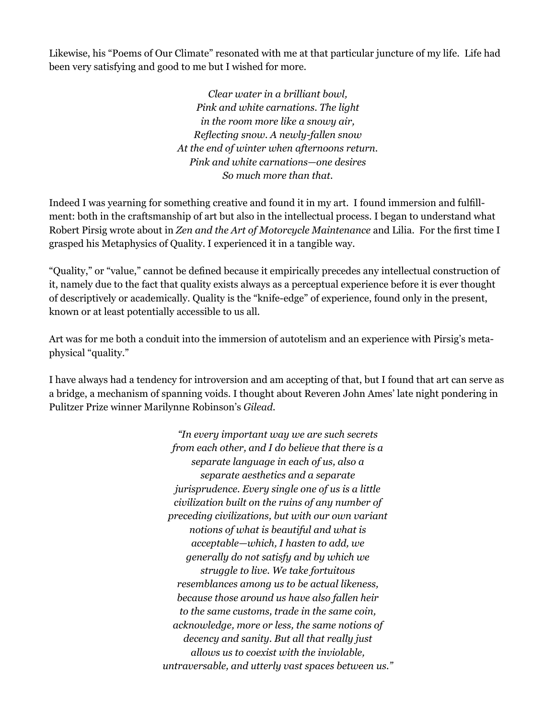Likewise, his "Poems of Our Climate" resonated with me at that particular juncture of my life. Life had been very satisfying and good to me but I wished for more.

> *Clear water in a brilliant bowl, Pink and white carnations. The light in the room more like a snowy air, Reflecting snow. A newly-fallen snow At the end of winter when afternoons return. Pink and white carnations—one desires So much more than that.*

Indeed I was yearning for something creative and found it in my art. I found immersion and fulfillment: both in the craftsmanship of art but also in the intellectual process. I began to understand what Robert Pirsig wrote about in *Zen and the Art of Motorcycle Maintenance* and Lilia. For the first time I grasped his Metaphysics of Quality. I experienced it in a tangible way.

"Quality," or "value," cannot be defined because it empirically precedes any intellectual construction of it, namely due to the fact that quality exists always as a perceptual experience before it is ever thought of descriptively or academically. Quality is the "knife-edge" of experience, found only in the present, known or at least potentially accessible to us all.

Art was for me both a conduit into the immersion of autotelism and an experience with Pirsig's metaphysical "quality."

I have always had a tendency for introversion and am accepting of that, but I found that art can serve as a bridge, a mechanism of spanning voids. I thought about Reveren John Ames' late night pondering in Pulitzer Prize winner Marilynne Robinson's *Gilead.* 

> *"In every important way we are such secrets from each other, and I do believe that there is a separate language in each of us, also a separate aesthetics and a separate jurisprudence. Every single one of us is a little civilization built on the ruins of any number of preceding civilizations, but with our own variant notions of what is beautiful and what is acceptable—which, I hasten to add, we generally do not satisfy and by which we struggle to live. We take fortuitous resemblances among us to be actual likeness, because those around us have also fallen heir to the same customs, trade in the same coin, acknowledge, more or less, the same notions of decency and sanity. But all that really just allows us to coexist with the inviolable, untraversable, and utterly vast spaces between us."*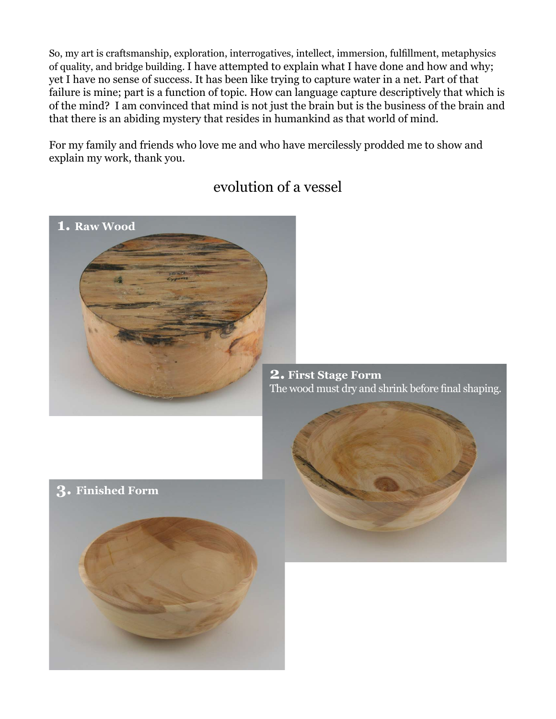So, my art is craftsmanship, exploration, interrogatives, intellect, immersion, fulfillment, metaphysics of quality, and bridge building. I have attempted to explain what I have done and how and why; yet I have no sense of success. It has been like trying to capture water in a net. Part of that failure is mine; part is a function of topic. How can language capture descriptively that which is of the mind? I am convinced that mind is not just the brain but is the business of the brain and that there is an abiding mystery that resides in humankind as that world of mind.

For my family and friends who love me and who have mercilessly prodded me to show and explain my work, thank you.



## evolution of a vessel

**2. First Stage Form** The wood must dry and shrink before final shaping.